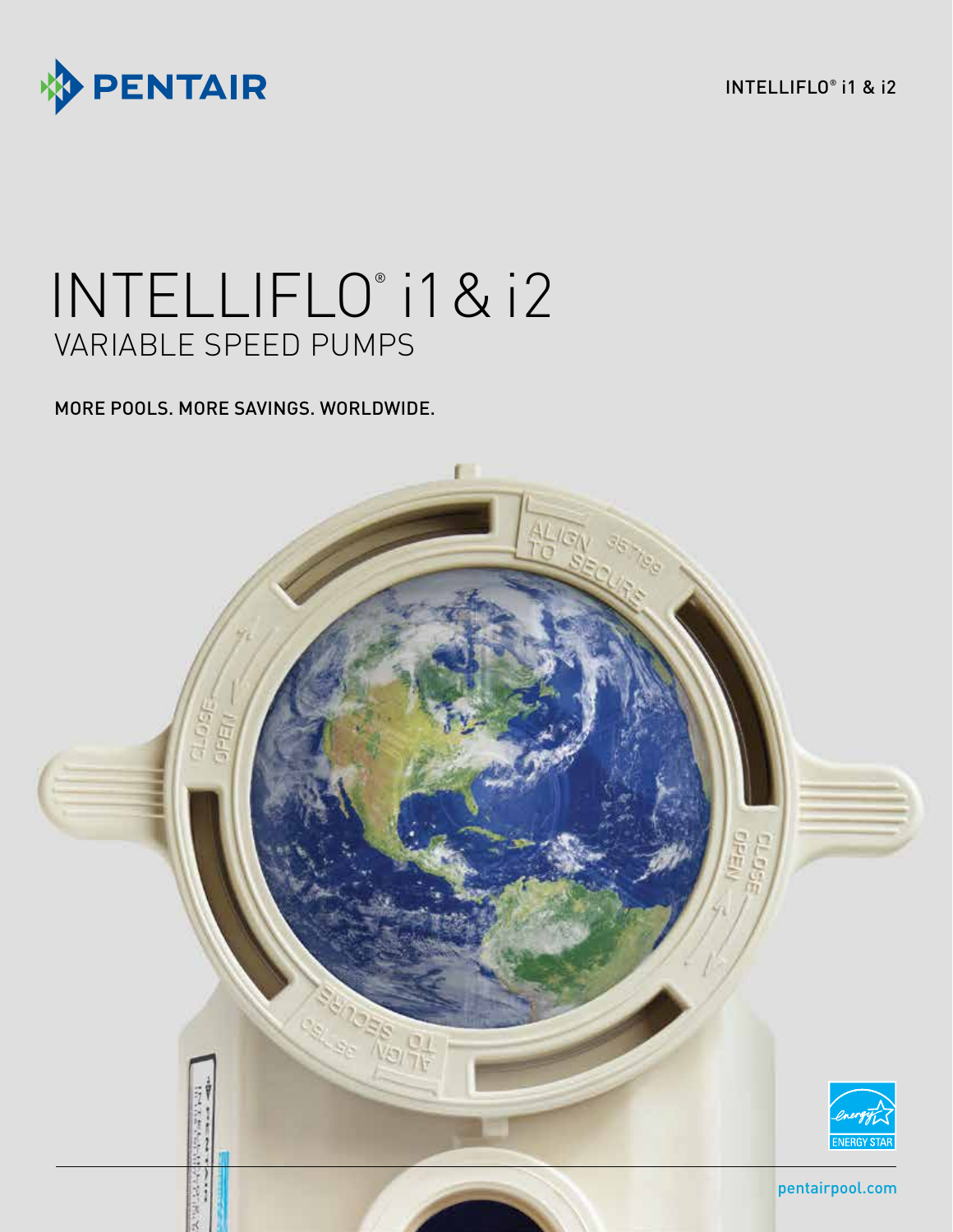

INTELLIFLO® i1 & i2

# INTELLIFLO® i1 & i2 VARIABLE SPEED PUMPS

MORE POOLS. MORE SAVINGS. WORLDWIDE.

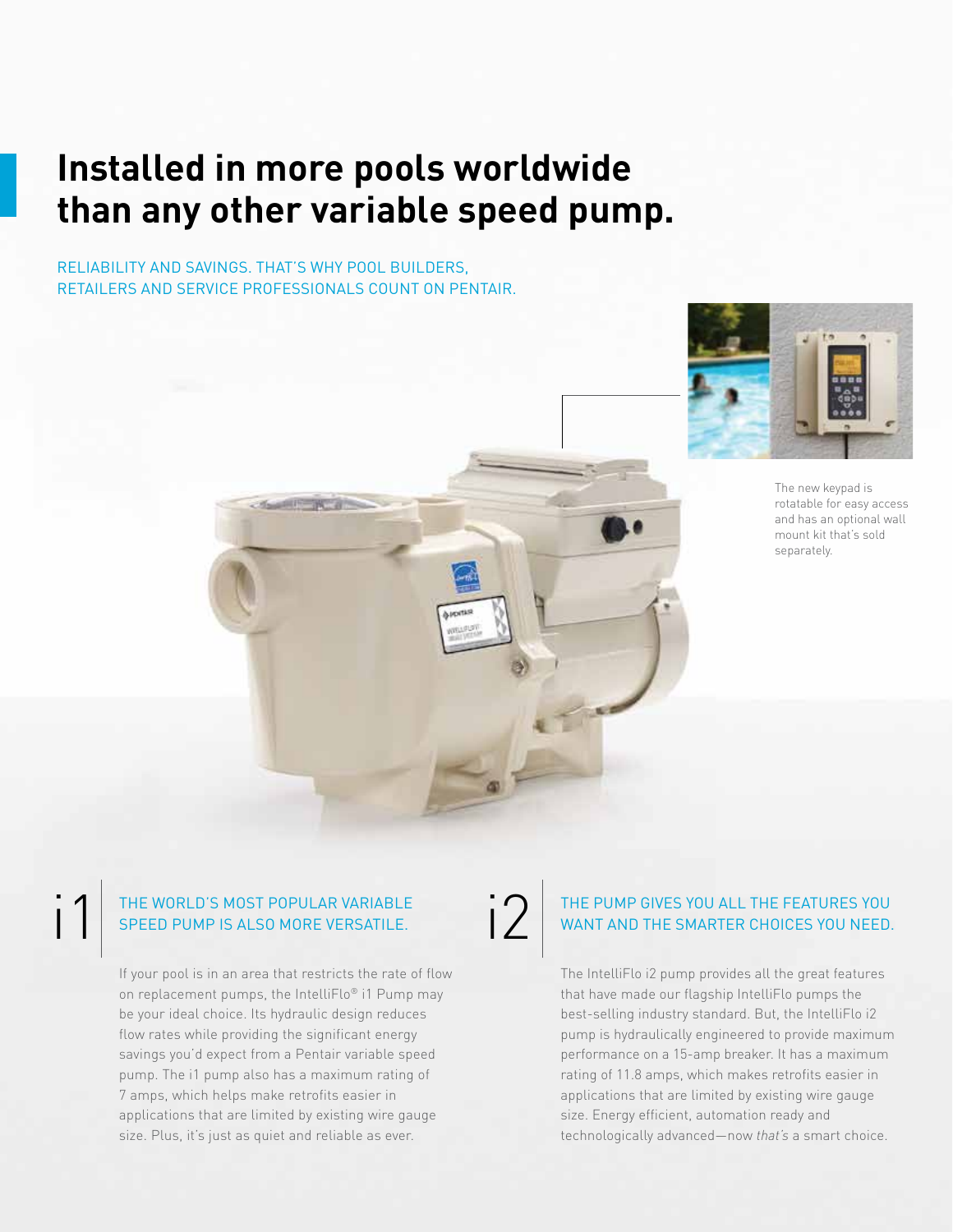### **Installed in more pools worldwide than any other variable speed pump.**

RELIABILITY AND SAVINGS. THAT'S WHY POOL BUILDERS, RETAILERS AND SERVICE PROFESSIONALS COUNT ON PENTAIR.

SURFINGER



The new keypad is rotatable for easy access and has an optional wall mount kit that's sold separately.

#### THE WORLD'S MOST POPULAR VARIABLE SPEED PUMP IS ALSO MORE VERSATILE.

i1

If your pool is in an area that restricts the rate of flow on replacement pumps, the IntelliFlo® i1 Pump may be your ideal choice. Its hydraulic design reduces flow rates while providing the significant energy savings you'd expect from a Pentair variable speed pump. The i1 pump also has a maximum rating of 7 amps, which helps make retrofits easier in applications that are limited by existing wire gauge size. Plus, it's just as quiet and reliable as ever.

### i2 THE PUMP GIVES YOU ALL THE FEATURES YOU WANT AND THE SMARTER CHOICES YOU NEED.

The IntelliFlo i2 pump provides all the great features that have made our flagship IntelliFlo pumps the best-selling industry standard. But, the IntelliFlo i2 pump is hydraulically engineered to provide maximum performance on a 15-amp breaker. It has a maximum rating of 11.8 amps, which makes retrofits easier in applications that are limited by existing wire gauge size. Energy efficient, automation ready and technologically advanced—now *that's* a smart choice.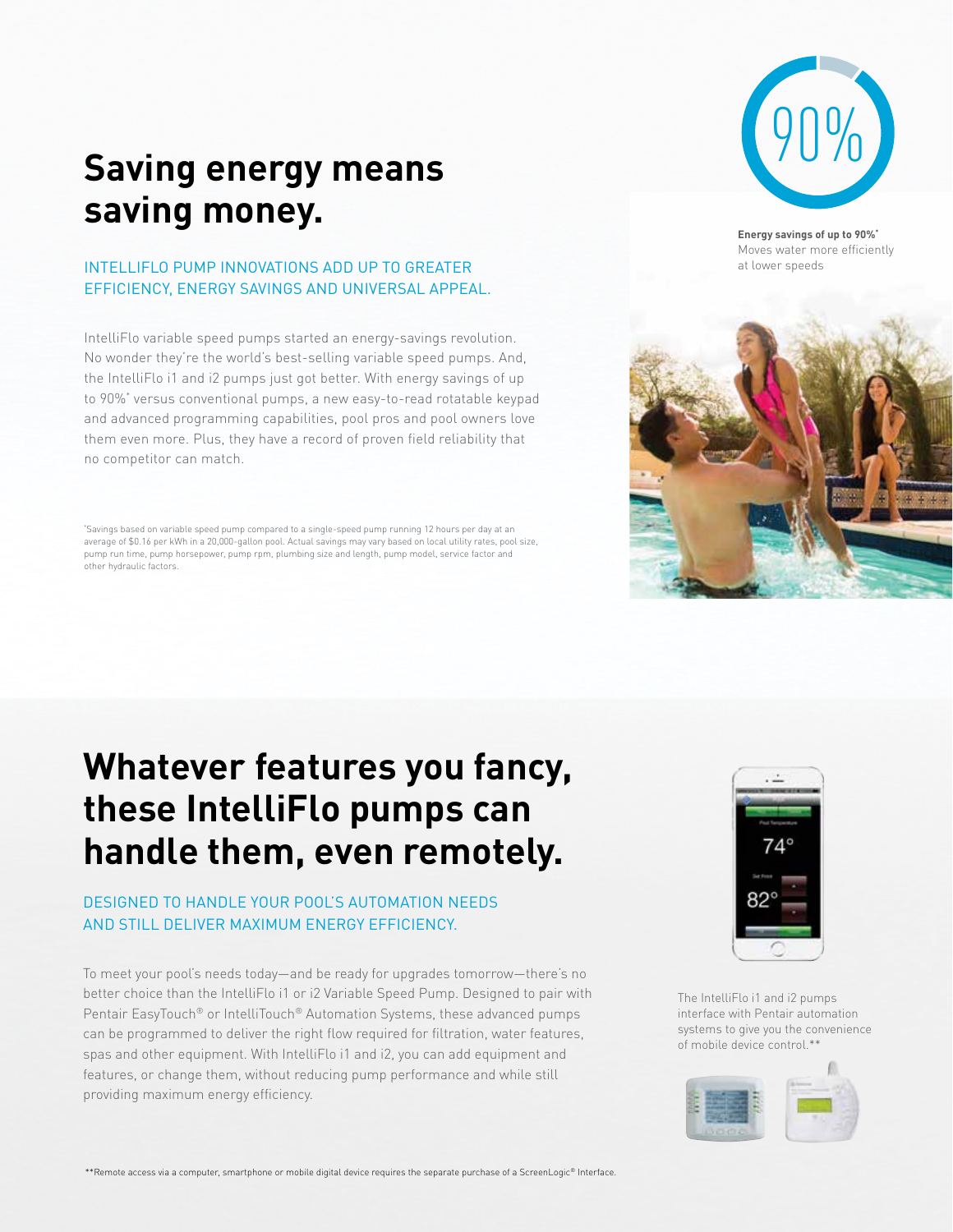## **Saving energy means saving money.**

#### INTELLIFLO PUMP INNOVATIONS ADD UP TO GREATER EFFICIENCY, ENERGY SAVINGS AND UNIVERSAL APPEAL.

IntelliFlo variable speed pumps started an energy-savings revolution. No wonder they're the world's best-selling variable speed pumps. And, the IntelliFlo i1 and i2 pumps just got better. With energy savings of up to 90%\* versus conventional pumps, a new easy-to-read rotatable keypad and advanced programming capabilities, pool pros and pool owners love them even more. Plus, they have a record of proven field reliability that no competitor can match.

\* Savings based on variable speed pump compared to a single-speed pump running 12 hours per day at an average of \$0.16 per kWh in a 20,000-gallon pool. Actual savings may vary based on local utility rates, pool size, pump run time, pump horsepower, pump rpm, plumbing size and length, pump model, service factor and other hydraulic factors.

### **Whatever features you fancy, these IntelliFlo pumps can handle them, even remotely.**

### DESIGNED TO HANDLE YOUR POOL'S AUTOMATION NEEDS AND STILL DELIVER MAXIMUM ENERGY EFFICIENCY.

To meet your pool's needs today—and be ready for upgrades tomorrow—there's no better choice than the IntelliFlo i1 or i2 Variable Speed Pump. Designed to pair with Pentair EasyTouch® or IntelliTouch® Automation Systems, these advanced pumps can be programmed to deliver the right flow required for filtration, water features, spas and other equipment. With IntelliFlo i1 and i2, you can add equipment and features, or change them, without reducing pump performance and while still providing maximum energy efficiency.



**Energy savings of up to 90%\*** Moves water more efficiently at lower speeds





The IntelliFlo i1 and i2 pumps interface with Pentair automation systems to give you the convenience of mobile device control.\*\*